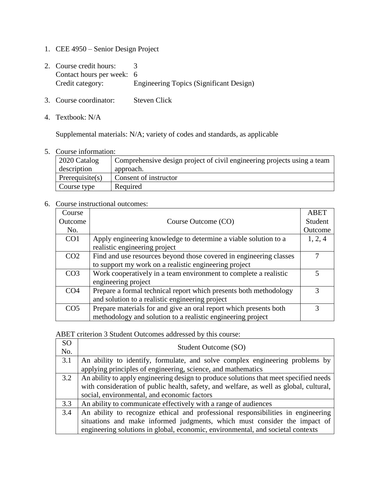- 1. CEE 4950 Senior Design Project
- 2. Course credit hours: 3 Contact hours per week: 6<br>Credit category: E Engineering Topics (Significant Design)
- 3. Course coordinator: Steven Click
- 4. Textbook: N/A

Supplemental materials: N/A; variety of codes and standards, as applicable

5. Course information:

| 2020 Catalog       | Comprehensive design project of civil engineering projects using a team |
|--------------------|-------------------------------------------------------------------------|
| description        | approach.                                                               |
| Prerequisite $(s)$ | Consent of instructor                                                   |
| Course type        | Required                                                                |

## 6. Course instructional outcomes:

| Course          |                                                                    | <b>ABET</b> |
|-----------------|--------------------------------------------------------------------|-------------|
| Outcome         | Course Outcome (CO)                                                | Student     |
| No.             |                                                                    | Outcome     |
| CO <sub>1</sub> | Apply engineering knowledge to determine a viable solution to a    | 1, 2, 4     |
|                 | realistic engineering project                                      |             |
| CO <sub>2</sub> | Find and use resources beyond those covered in engineering classes |             |
|                 | to support my work on a realistic engineering project              |             |
| CO <sub>3</sub> | Work cooperatively in a team environment to complete a realistic   |             |
|                 | engineering project                                                |             |
| CO <sub>4</sub> | Prepare a formal technical report which presents both methodology  | 3           |
|                 | and solution to a realistic engineering project                    |             |
| CO <sub>5</sub> | Prepare materials for and give an oral report which presents both  |             |
|                 | methodology and solution to a realistic engineering project        |             |

ABET criterion 3 Student Outcomes addressed by this course:

| <b>SO</b> | Student Outcome (SO)                                                                   |
|-----------|----------------------------------------------------------------------------------------|
| No.       |                                                                                        |
| 3.1       | An ability to identify, formulate, and solve complex engineering problems by           |
|           | applying principles of engineering, science, and mathematics                           |
| 3.2       | An ability to apply engineering design to produce solutions that meet specified needs  |
|           | with consideration of public health, safety, and welfare, as well as global, cultural, |
|           | social, environmental, and economic factors                                            |
| 3.3       | An ability to communicate effectively with a range of audiences                        |
| 3.4       | An ability to recognize ethical and professional responsibilities in engineering       |
|           | situations and make informed judgments, which must consider the impact of              |
|           | engineering solutions in global, economic, environmental, and societal contexts        |